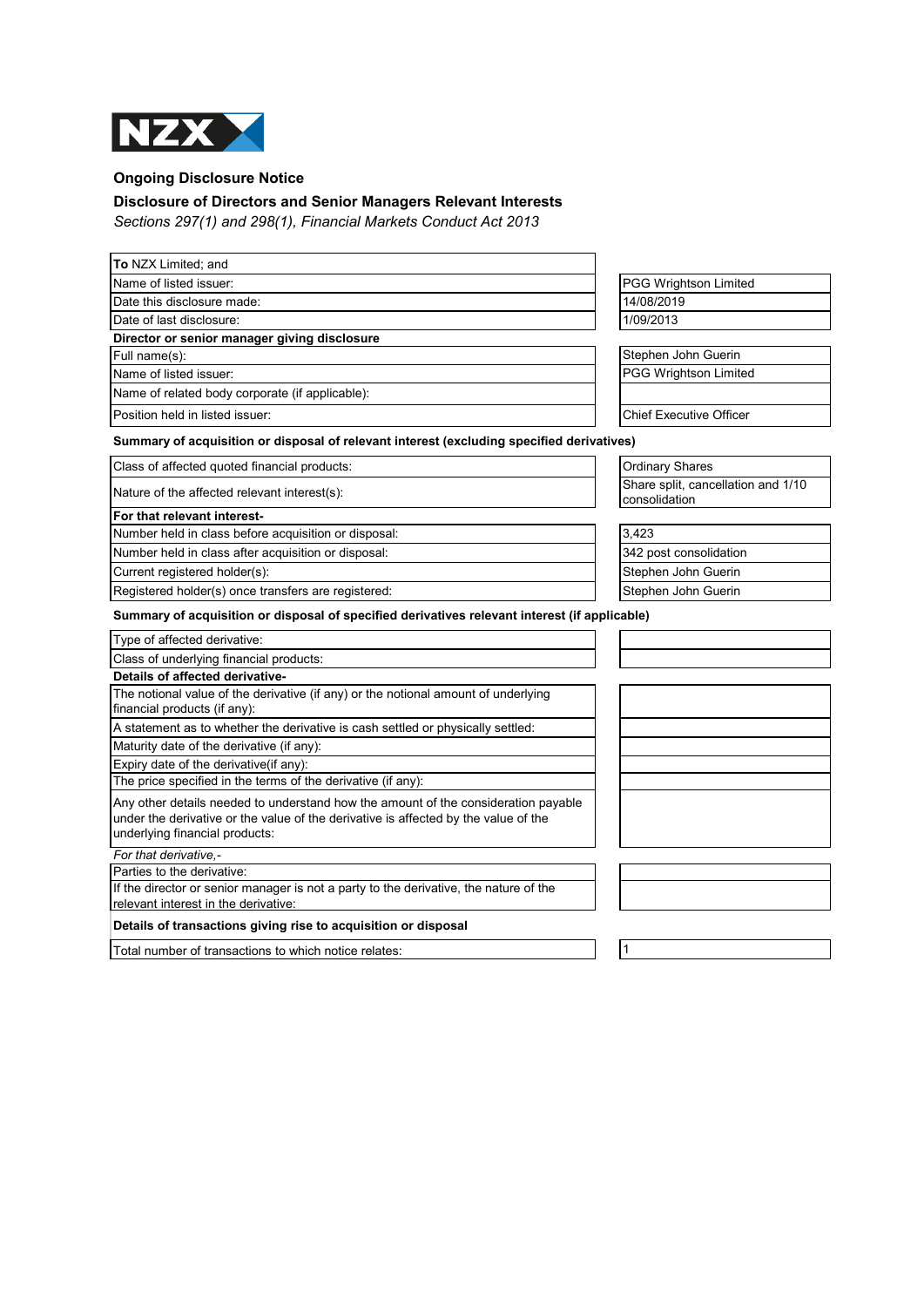

## **Ongoing Disclosure Notice**

## **Disclosure of Directors and Senior Managers Relevant Interests**

*Sections 297(1) and 298(1), Financial Markets Conduct Act 2013*

| To NZX Limited; and                                                                                                                                                                                         |                                                     |  |  |  |
|-------------------------------------------------------------------------------------------------------------------------------------------------------------------------------------------------------------|-----------------------------------------------------|--|--|--|
| Name of listed issuer:                                                                                                                                                                                      | PGG Wrightson Limited                               |  |  |  |
| Date this disclosure made:                                                                                                                                                                                  | 14/08/2019                                          |  |  |  |
| Date of last disclosure:                                                                                                                                                                                    | 1/09/2013                                           |  |  |  |
| Director or senior manager giving disclosure                                                                                                                                                                |                                                     |  |  |  |
| Full name(s):                                                                                                                                                                                               | Stephen John Guerin                                 |  |  |  |
| Name of listed issuer:                                                                                                                                                                                      | PGG Wrightson Limited                               |  |  |  |
| Name of related body corporate (if applicable):                                                                                                                                                             |                                                     |  |  |  |
| Position held in listed issuer:                                                                                                                                                                             | <b>Chief Executive Officer</b>                      |  |  |  |
| Summary of acquisition or disposal of relevant interest (excluding specified derivatives)                                                                                                                   |                                                     |  |  |  |
| Class of affected quoted financial products:                                                                                                                                                                | <b>Ordinary Shares</b>                              |  |  |  |
| Nature of the affected relevant interest(s):                                                                                                                                                                | Share split, cancellation and 1/10<br>consolidation |  |  |  |
| For that relevant interest-                                                                                                                                                                                 |                                                     |  |  |  |
| Number held in class before acquisition or disposal:                                                                                                                                                        | 3,423                                               |  |  |  |
| Number held in class after acquisition or disposal:                                                                                                                                                         | 342 post consolidation                              |  |  |  |
| Current registered holder(s):                                                                                                                                                                               | Stephen John Guerin                                 |  |  |  |
| Registered holder(s) once transfers are registered:                                                                                                                                                         | Stephen John Guerin                                 |  |  |  |
| Summary of acquisition or disposal of specified derivatives relevant interest (if applicable)                                                                                                               |                                                     |  |  |  |
| Type of affected derivative:                                                                                                                                                                                |                                                     |  |  |  |
| Class of underlying financial products:                                                                                                                                                                     |                                                     |  |  |  |
| Details of affected derivative-                                                                                                                                                                             |                                                     |  |  |  |
| The notional value of the derivative (if any) or the notional amount of underlying<br>financial products (if any):                                                                                          |                                                     |  |  |  |
| A statement as to whether the derivative is cash settled or physically settled:                                                                                                                             |                                                     |  |  |  |
| Maturity date of the derivative (if any):                                                                                                                                                                   |                                                     |  |  |  |
| Expiry date of the derivative(if any):                                                                                                                                                                      |                                                     |  |  |  |
| The price specified in the terms of the derivative (if any):                                                                                                                                                |                                                     |  |  |  |
| Any other details needed to understand how the amount of the consideration payable<br>under the derivative or the value of the derivative is affected by the value of the<br>underlying financial products: |                                                     |  |  |  |
| For that derivative.-                                                                                                                                                                                       |                                                     |  |  |  |
| Parties to the derivative:                                                                                                                                                                                  |                                                     |  |  |  |
| If the director or senior manager is not a party to the derivative, the nature of the<br>relevant interest in the derivative:                                                                               |                                                     |  |  |  |
| Details of transactions giving rise to acquisition or disposal                                                                                                                                              |                                                     |  |  |  |
| Total number of transactions to which notice relates:                                                                                                                                                       | $\mathbf{1}$                                        |  |  |  |